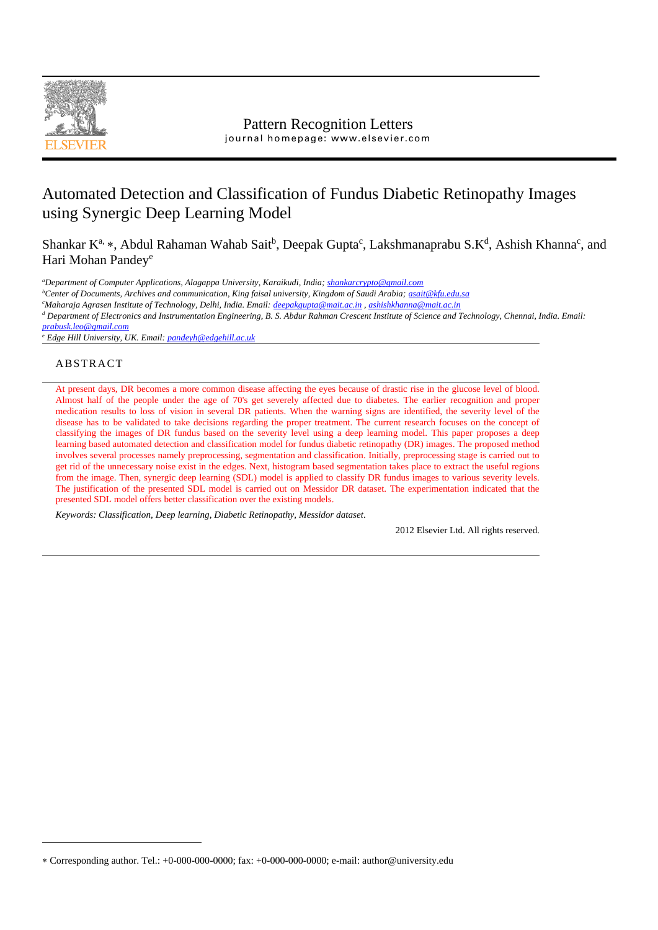

# Automated Detection and Classification of Fundus Diabetic Retinopathy Images using Synergic Deep Learning Model

Shankar K<sup>a,</sup> \*, Abdul Rahaman Wahab Sait<sup>b</sup>, Deepak Gupta<sup>c</sup>, Lakshmanaprabu S.K<sup>d</sup>, Ashish Khanna<sup>c</sup>, and Hari Mohan Pandey<sup>e</sup>

*<sup>a</sup>Department of Computer Applications, Alagappa University, Karaikudi, India; [shankarcrypto@gmail.com](mailto:shankarcrypto@gmail.com)*

*<sup>b</sup>Center of Documents, Archives and communication, King faisal university, Kingdom of Saudi Arabia[; asait@kfu.edu.sa](mailto:asait@kfu.edu.sa)*

*<sup>c</sup>Maharaja Agrasen Institute of Technology, Delhi, India. Email[: deepakgupta@mait.ac.in](mailto:deepakgupta@mait.ac.in) [, ashishkhanna@mait.ac.in](mailto:ashishkhanna@mait.ac.in)*

*<sup>d</sup> Department of Electronics and Instrumentation Engineering, B. S. Abdur Rahman Crescent Institute of Science and Technology, Chennai, India. Email:* 

*[prabusk.leo@gmail.com](mailto:prabusk.leo@gmail.com)*

*<sup>e</sup> Edge Hill University, UK. Email[: pandeyh@edgehill.ac.uk](mailto:pandeyh@edgehill.ac.uk)*

## ABSTRACT

At present days, DR becomes a more common disease affecting the eyes because of drastic rise in the glucose level of blood. Almost half of the people under the age of 70's get severely affected due to diabetes. The earlier recognition and proper medication results to loss of vision in several DR patients. When the warning signs are identified, the severity level of the disease has to be validated to take decisions regarding the proper treatment. The current research focuses on the concept of classifying the images of DR fundus based on the severity level using a deep learning model. This paper proposes a deep learning based automated detection and classification model for fundus diabetic retinopathy (DR) images. The proposed method involves several processes namely preprocessing, segmentation and classification. Initially, preprocessing stage is carried out to get rid of the unnecessary noise exist in the edges. Next, histogram based segmentation takes place to extract the useful regions from the image. Then, synergic deep learning (SDL) model is applied to classify DR fundus images to various severity levels. The justification of the presented SDL model is carried out on Messidor DR dataset. The experimentation indicated that the presented SDL model offers better classification over the existing models.

*Keywords: Classification, Deep learning, Diabetic Retinopathy, Messidor dataset*.

2012 Elsevier Ltd. All rights reserved.

Corresponding author. Tel.: +0-000-000-0000; fax: +0-000-000-0000; e-mail: author@university.edu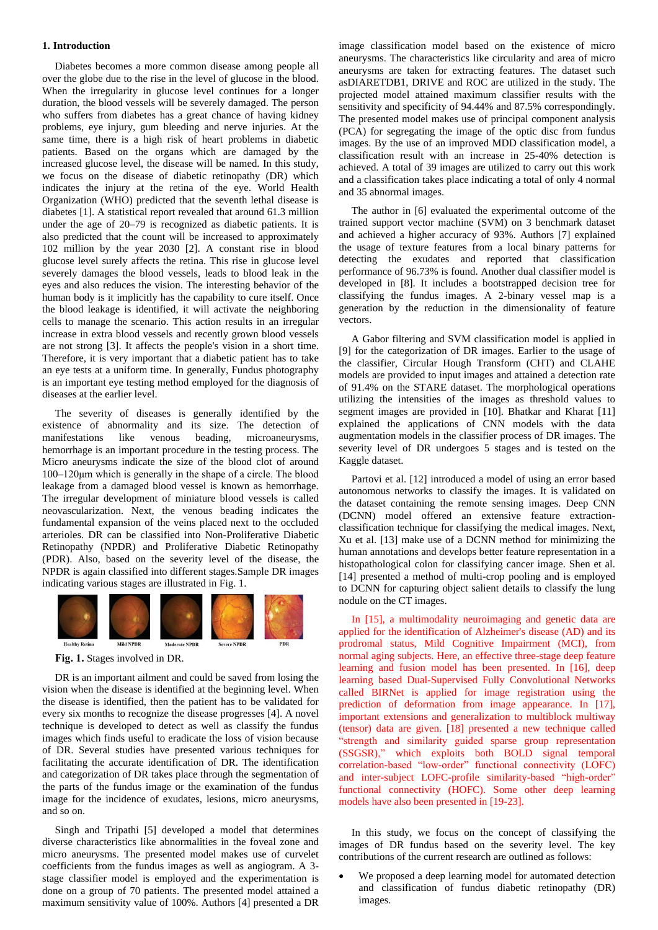#### **1. Introduction**

Diabetes becomes a more common disease among people all over the globe due to the rise in the level of glucose in the blood. When the irregularity in glucose level continues for a longer duration, the blood vessels will be severely damaged. The person who suffers from diabetes has a great chance of having kidney problems, eye injury, gum bleeding and nerve injuries. At the same time, there is a high risk of heart problems in diabetic patients. Based on the organs which are damaged by the increased glucose level, the disease will be named. In this study, we focus on the disease of diabetic retinopathy (DR) which indicates the injury at the retina of the eye. World Health Organization (WHO) predicted that the seventh lethal disease is diabetes [1]. A statistical report revealed that around 61.3 million under the age of 20–79 is recognized as diabetic patients. It is also predicted that the count will be increased to approximately 102 million by the year 2030 [2]. A constant rise in blood glucose level surely affects the retina. This rise in glucose level severely damages the blood vessels, leads to blood leak in the eyes and also reduces the vision. The interesting behavior of the human body is it implicitly has the capability to cure itself. Once the blood leakage is identified, it will activate the neighboring cells to manage the scenario. This action results in an irregular increase in extra blood vessels and recently grown blood vessels are not strong [3]. It affects the people's vision in a short time. Therefore, it is very important that a diabetic patient has to take an eye tests at a uniform time. In generally, Fundus photography is an important eye testing method employed for the diagnosis of diseases at the earlier level.

The severity of diseases is generally identified by the existence of abnormality and its size. The detection of manifestations like venous beading, microaneurysms, hemorrhage is an important procedure in the testing process. The Micro aneurysms indicate the size of the blood clot of around 100–120μm which is generally in the shape of a circle. The blood leakage from a damaged blood vessel is known as hemorrhage. The irregular development of miniature blood vessels is called neovascularization. Next, the venous beading indicates the fundamental expansion of the veins placed next to the occluded arterioles. DR can be classified into Non-Proliferative Diabetic Retinopathy (NPDR) and Proliferative Diabetic Retinopathy (PDR). Also, based on the severity level of the disease, the NPDR is again classified into different stages.Sample DR images indicating various stages are illustrated in Fig. 1.



**Fig. 1.** Stages involved in DR.

DR is an important ailment and could be saved from losing the vision when the disease is identified at the beginning level. When the disease is identified, then the patient has to be validated for every six months to recognize the disease progresses [4]. A novel technique is developed to detect as well as classify the fundus images which finds useful to eradicate the loss of vision because of DR. Several studies have presented various techniques for facilitating the accurate identification of DR. The identification and categorization of DR takes place through the segmentation of the parts of the fundus image or the examination of the fundus image for the incidence of exudates, lesions, micro aneurysms, and so on.

Singh and Tripathi [5] developed a model that determines diverse characteristics like abnormalities in the foveal zone and micro aneurysms. The presented model makes use of curvelet coefficients from the fundus images as well as angiogram. A 3 stage classifier model is employed and the experimentation is done on a group of 70 patients. The presented model attained a maximum sensitivity value of 100%. Authors [4] presented a DR image classification model based on the existence of micro aneurysms. The characteristics like circularity and area of micro aneurysms are taken for extracting features. The dataset such asDIARETDB1, DRIVE and ROC are utilized in the study. The projected model attained maximum classifier results with the sensitivity and specificity of 94.44% and 87.5% correspondingly. The presented model makes use of principal component analysis (PCA) for segregating the image of the optic disc from fundus images. By the use of an improved MDD classification model, a classification result with an increase in 25-40% detection is achieved. A total of 39 images are utilized to carry out this work and a classification takes place indicating a total of only 4 normal and 35 abnormal images.

The author in [6] evaluated the experimental outcome of the trained support vector machine (SVM) on 3 benchmark dataset and achieved a higher accuracy of 93%. Authors [7] explained the usage of texture features from a local binary patterns for detecting the exudates and reported that classification performance of 96.73% is found. Another dual classifier model is developed in [8]. It includes a bootstrapped decision tree for classifying the fundus images. A 2-binary vessel map is a generation by the reduction in the dimensionality of feature vectors.

A Gabor filtering and SVM classification model is applied in [9] for the categorization of DR images. Earlier to the usage of the classifier, Circular Hough Transform (CHT) and CLAHE models are provided to input images and attained a detection rate of 91.4% on the STARE dataset. The morphological operations utilizing the intensities of the images as threshold values to segment images are provided in [10]. Bhatkar and Kharat [11] explained the applications of CNN models with the data augmentation models in the classifier process of DR images. The severity level of DR undergoes 5 stages and is tested on the Kaggle dataset.

Partovi et al. [12] introduced a model of using an error based autonomous networks to classify the images. It is validated on the dataset containing the remote sensing images. Deep CNN (DCNN) model offered an extensive feature extractionclassification technique for classifying the medical images. Next, Xu et al. [13] make use of a DCNN method for minimizing the human annotations and develops better feature representation in a histopathological colon for classifying cancer image. Shen et al. [14] presented a method of multi-crop pooling and is employed to DCNN for capturing object salient details to classify the lung nodule on the CT images.

In [15], a multimodality neuroimaging and genetic data are applied for the identification of Alzheimer's disease (AD) and its prodromal status, Mild Cognitive Impairment (MCI), from normal aging subjects. Here, an effective three-stage deep feature learning and fusion model has been presented. In [16], deep learning based Dual-Supervised Fully Convolutional Networks called BIRNet is applied for image registration using the prediction of deformation from image appearance. In [17], important extensions and generalization to multiblock multiway (tensor) data are given. [18] presented a new technique called "strength and similarity guided sparse group representation (SSGSR)," which exploits both BOLD signal temporal correlation-based "low-order" functional connectivity (LOFC) and inter-subject LOFC-profile similarity-based "high-order" functional connectivity (HOFC). Some other deep learning models have also been presented in [19-23].

In this study, we focus on the concept of classifying the images of DR fundus based on the severity level. The key contributions of the current research are outlined as follows:

We proposed a deep learning model for automated detection and classification of fundus diabetic retinopathy (DR) images.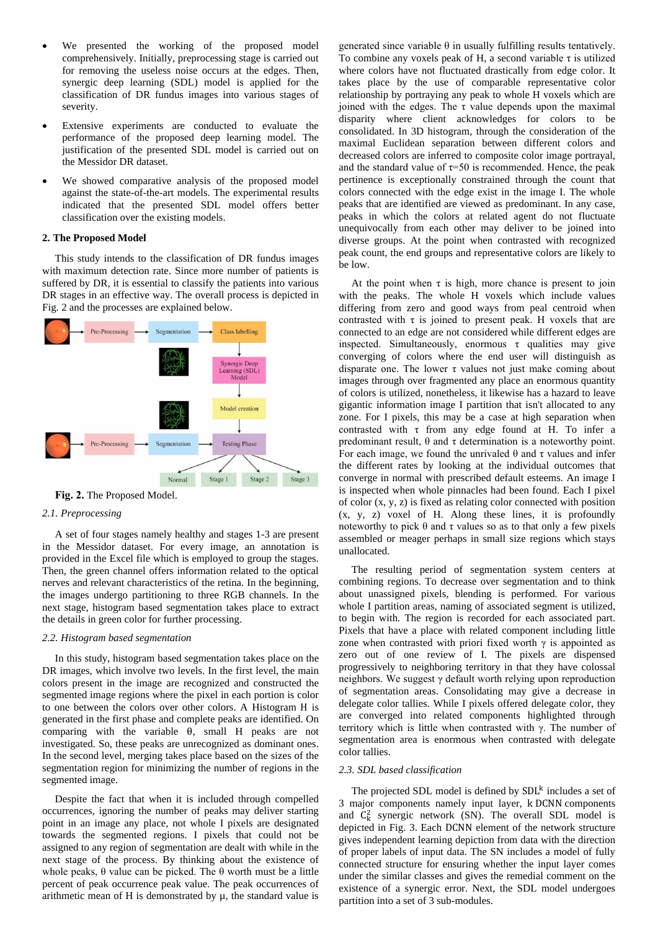- We presented the working of the proposed model comprehensively. Initially, preprocessing stage is carried out for removing the useless noise occurs at the edges. Then, synergic deep learning (SDL) model is applied for the classification of DR fundus images into various stages of severity.
- Extensive experiments are conducted to evaluate the performance of the proposed deep learning model. The justification of the presented SDL model is carried out on the Messidor DR dataset.
- We showed comparative analysis of the proposed model against the state-of-the-art models. The experimental results indicated that the presented SDL model offers better classification over the existing models.

#### **2. The Proposed Model**

This study intends to the classification of DR fundus images with maximum detection rate. Since more number of patients is suffered by DR, it is essential to classify the patients into various DR stages in an effective way. The overall process is depicted in Fig. 2 and the processes are explained below.



**Fig. 2.** The Proposed Model.

#### *2.1. Preprocessing*

A set of four stages namely healthy and stages 1-3 are present in the Messidor dataset. For every image, an annotation is provided in the Excel file which is employed to group the stages. Then, the green channel offers information related to the optical nerves and relevant characteristics of the retina. In the beginning, the images undergo partitioning to three RGB channels. In the next stage, histogram based segmentation takes place to extract the details in green color for further processing.

#### *2.2. Histogram based segmentation*

In this study, histogram based segmentation takes place on the DR images, which involve two levels. In the first level, the main colors present in the image are recognized and constructed the segmented image regions where the pixel in each portion is color to one between the colors over other colors. A Histogram H is generated in the first phase and complete peaks are identified. On comparing with the variable θ, small H peaks are not investigated. So, these peaks are unrecognized as dominant ones. In the second level, merging takes place based on the sizes of the segmentation region for minimizing the number of regions in the segmented image.

Despite the fact that when it is included through compelled occurrences, ignoring the number of peaks may deliver starting point in an image any place, not whole I pixels are designated towards the segmented regions. I pixels that could not be assigned to any region of segmentation are dealt with while in the next stage of the process. By thinking about the existence of whole peaks,  $θ$  value can be picked. The  $θ$  worth must be a little percent of peak occurrence peak value. The peak occurrences of arithmetic mean of H is demonstrated by µ, the standard value is generated since variable  $\theta$  in usually fulfilling results tentatively. To combine any voxels peak of H, a second variable  $\tau$  is utilized where colors have not fluctuated drastically from edge color. It takes place by the use of comparable representative color relationship by portraying any peak to whole H voxels which are joined with the edges. The τ value depends upon the maximal disparity where client acknowledges for colors to be consolidated. In 3D histogram, through the consideration of the maximal Euclidean separation between different colors and decreased colors are inferred to composite color image portrayal, and the standard value of  $\tau$ =50 is recommended. Hence, the peak pertinence is exceptionally constrained through the count that colors connected with the edge exist in the image I. The whole peaks that are identified are viewed as predominant. In any case, peaks in which the colors at related agent do not fluctuate unequivocally from each other may deliver to be joined into diverse groups. At the point when contrasted with recognized peak count, the end groups and representative colors are likely to be low.

At the point when  $\tau$  is high, more chance is present to join with the peaks. The whole H voxels which include values differing from zero and good ways from peal centroid when contrasted with  $\tau$  is joined to present peak. H voxels that are connected to an edge are not considered while different edges are inspected. Simultaneously, enormous  $\tau$  qualities may give converging of colors where the end user will distinguish as disparate one. The lower  $\tau$  values not just make coming about images through over fragmented any place an enormous quantity of colors is utilized, nonetheless, it likewise has a hazard to leave gigantic information image I partition that isn't allocated to any zone. For I pixels, this may be a case at high separation when contrasted with τ from any edge found at H. To infer a predominant result, θ and τ determination is a noteworthy point. For each image, we found the unrivaled θ and τ values and infer the different rates by looking at the individual outcomes that converge in normal with prescribed default esteems. An image I is inspected when whole pinnacles had been found. Each I pixel of color (x, y, z) is fixed as relating color connected with position (x, y, z) voxel of H. Along these lines, it is profoundly noteworthy to pick θ and τ values so as to that only a few pixels assembled or meager perhaps in small size regions which stays unallocated.

The resulting period of segmentation system centers at combining regions. To decrease over segmentation and to think about unassigned pixels, blending is performed. For various whole I partition areas, naming of associated segment is utilized, to begin with. The region is recorded for each associated part. Pixels that have a place with related component including little zone when contrasted with priori fixed worth  $\gamma$  is appointed as zero out of one review of I. The pixels are dispensed progressively to neighboring territory in that they have colossal neighbors. We suggest  $\gamma$  default worth relying upon reproduction of segmentation areas. Consolidating may give a decrease in delegate color tallies. While I pixels offered delegate color, they are converged into related components highlighted through territory which is little when contrasted with γ. The number of segmentation area is enormous when contrasted with delegate color tallies.

#### *2.3. SDL based classification*

The projected SDL model is defined by SDL<sup>k</sup> includes a set of 3 major components namely input layer, k DCNN components and  $C_k^2$  synergic network (SN). The overall SDL model is depicted in Fig. 3. Each DCNN element of the network structure gives independent learning depiction from data with the direction of proper labels of input data. The SN includes a model of fully connected structure for ensuring whether the input layer comes under the similar classes and gives the remedial comment on the existence of a synergic error. Next, the SDL model undergoes partition into a set of 3 sub-modules.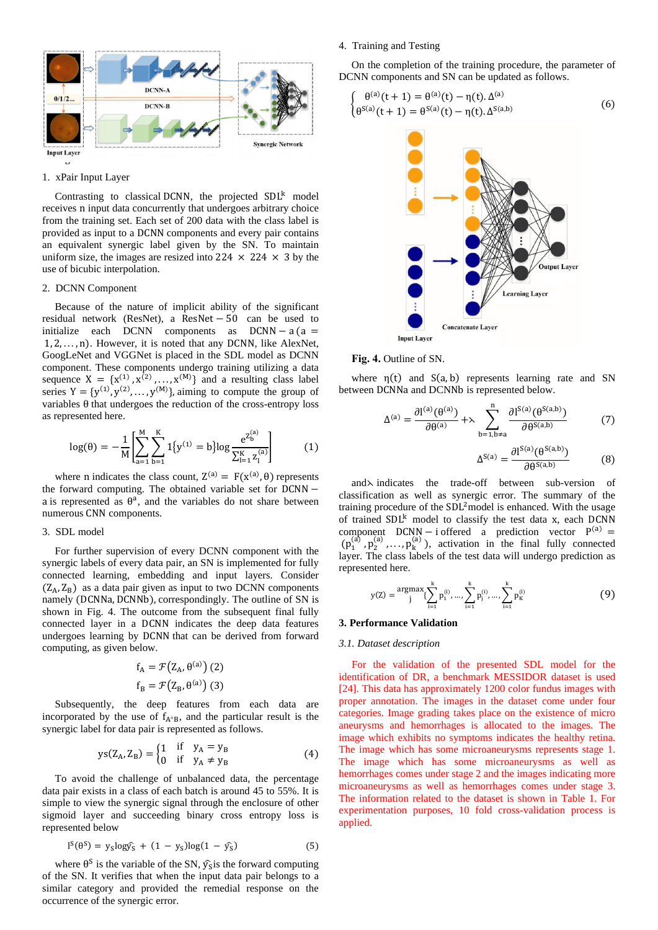

#### 1. xPair Input Layer

Contrasting to classical DCNN, the projected SDL<sup>k</sup> model receives n input data concurrently that undergoes arbitrary choice from the training set. Each set of 200 data with the class label is provided as input to a DCNN components and every pair contains an equivalent synergic label given by the SN. To maintain uniform size, the images are resized into 224  $\times$  224  $\times$  3 by the use of bicubic interpolation.

#### 2. DCNN Component

Because of the nature of implicit ability of the significant residual network (ResNet), a ResNet − 50 can be used to initialize each DCNN components as  $DCNN - a (a =$ 1, 2, . . . , n). However, it is noted that any DCNN, like AlexNet, GoogLeNet and VGGNet is placed in the SDL model as DCNN component. These components undergo training utilizing a data sequence  $X = \{x^{(1)}, x^{(2)}, \dots, x^{(M)}\}$  and a resulting class label series  $Y = \{y^{(1)}, y^{(2)}, \dots, y^{(M)}\}$ , aiming to compute the group of variables θ that undergoes the reduction of the cross-entropy loss as represented here.

$$
\log(\theta) = -\frac{1}{M} \left[ \sum_{a=1}^{M} \sum_{b=1}^{K} 1\{y^{(1)} = b\} \log \frac{e^{Z_{b}^{(a)}}}{\sum_{l=1}^{K} z_{l}^{(a)}} \right]
$$
(1)

where n indicates the class count,  $Z^{(a)} = F(X^{(a)}, \theta)$  represents the forward computing. The obtained variable set for DCNN − a is represented as  $\theta^a$ , and the variables do not share between numerous CNN components.

#### 3. SDL model

For further supervision of every DCNN component with the synergic labels of every data pair, an SN is implemented for fully connected learning, embedding and input layers. Consider  $(Z_A, Z_B)$  as a data pair given as input to two DCNN components namely (DCNNa, DCNNb), correspondingly. The outline of SN is shown in Fig. 4. The outcome from the subsequent final fully connected layer in a DCNN indicates the deep data features undergoes learning by DCNN that can be derived from forward computing, as given below.

$$
f_{A} = \mathcal{F}(Z_{A}, \theta^{(a)})
$$
 (2)  

$$
f_{B} = \mathcal{F}(Z_{B}, \theta^{(a)})
$$
 (3)

Subsequently, the deep features from each data are incorporated by the use of  $f_{A<sup>o</sup>B}$ , and the particular result is the synergic label for data pair is represented as follows.

$$
ys(Z_A, Z_B) = \begin{cases} 1 & \text{if } y_A = y_B \\ 0 & \text{if } y_A \neq y_B \end{cases}
$$
 (4)

To avoid the challenge of unbalanced data, the percentage data pair exists in a class of each batch is around 45 to 55%. It is simple to view the synergic signal through the enclosure of other sigmoid layer and succeeding binary cross entropy loss is represented below

$$
l^{S}(\theta^{S}) = y_{S} \log \hat{y_{S}} + (1 - y_{S}) \log(1 - \hat{y_{S}})
$$
\n
$$
(5)
$$

where  $\theta^S$  is the variable of the SN,  $\hat{y}_{S}$  is the forward computing of the SN. It verifies that when the input data pair belongs to a similar category and provided the remedial response on the occurrence of the synergic error.

#### 4. Training and Testing

On the completion of the training procedure, the parameter of DCNN components and SN can be updated as follows.

$$
\begin{cases} \theta^{(a)}(t+1) = \theta^{(a)}(t) - \eta(t) \Delta^{(a)} \\ \theta^{S(a)}(t+1) = \theta^{S(a)}(t) - \eta(t) \Delta^{S(a,b)} \end{cases}
$$
(6)



#### **Fig. 4.** Outline of SN.

where  $\eta(t)$  and  $S(a, b)$  represents learning rate and SN between DCNNa and DCNNb is represented below.

$$
\Delta^{(a)} = \frac{\partial l^{(a)}(\theta^{(a)})}{\partial \theta^{(a)}} + \lambda \sum_{b=1, b \neq a}^{n} \frac{\partial l^{S(a)}(\theta^{S(a,b)})}{\partial \theta^{S(a,b)}}
$$
(7)

$$
\Delta^{S(a)} = \frac{\partial l^{S(a)}(\theta^{S(a,b)})}{\partial \theta^{S(a,b)}}
$$
(8)

and⋋ indicates the trade-off between sub-version of classification as well as synergic error. The summary of the training procedure of the SDL <sup>2</sup>model is enhanced. With the usage of trained SDL<sup>k</sup> model to classify the test data x, each DCNN component  $DCNN - i$  offered a prediction vector  $P^{(a)} =$  $(p_1^{(a)}, p_2^{(a)}, \ldots, p_k^{(a)})$ , activation in the final fully connected layer. The class labels of the test data will undergo prediction as represented here.

$$
y(Z) = \underset{j}{\operatorname{argmax}} \{ \sum_{i=1}^{k} p_1^{(i)}, \dots, \sum_{i=1}^{k} p_j^{(i)}, \dots, \sum_{i=1}^{k} p_K^{(i)} \} \tag{9}
$$

#### **3. Performance Validation**

#### *3.1. Dataset description*

For the validation of the presented SDL model for the identification of DR, a benchmark MESSIDOR dataset is used [24]. This data has approximately 1200 color fundus images with proper annotation. The images in the dataset come under four categories. Image grading takes place on the existence of micro aneurysms and hemorrhages is allocated to the images. The image which exhibits no symptoms indicates the healthy retina. The image which has some microaneurysms represents stage 1. The image which has some microaneurysms as well as hemorrhages comes under stage 2 and the images indicating more microaneurysms as well as hemorrhages comes under stage 3. The information related to the dataset is shown in Table 1. For experimentation purposes, 10 fold cross-validation process is applied.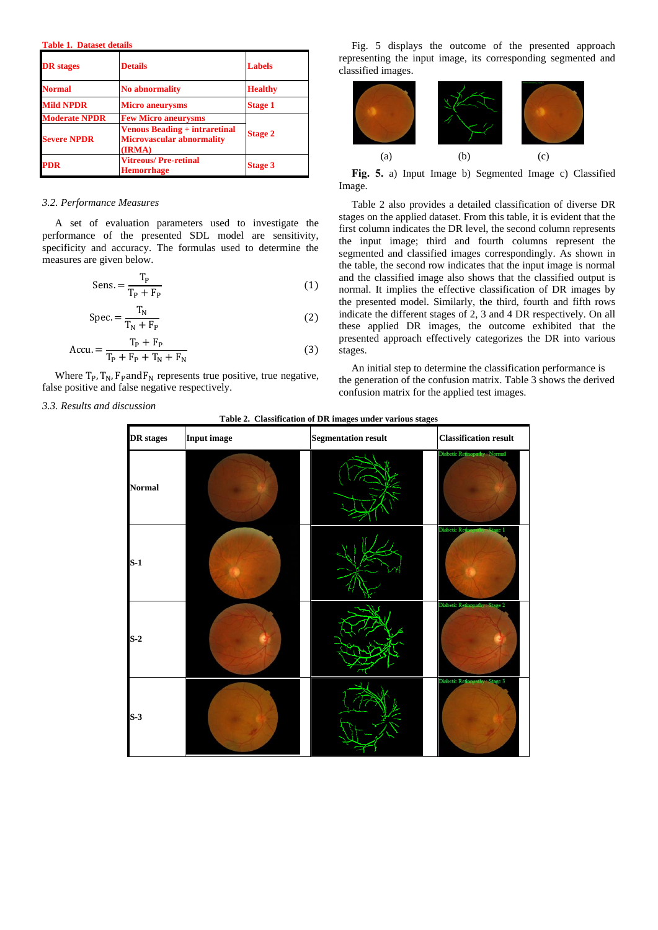**Table 1. Dataset details**

| <b>DR</b> stages     | <b>Details</b>                                                                     | <b>Labels</b>  |  |
|----------------------|------------------------------------------------------------------------------------|----------------|--|
| <b>Normal</b>        | <b>No abnormality</b>                                                              | <b>Healthy</b> |  |
| <b>Mild NPDR</b>     | <b>Micro aneurysms</b>                                                             | <b>Stage 1</b> |  |
| <b>Moderate NPDR</b> | <b>Few Micro aneurysms</b>                                                         |                |  |
| <b>Severe NPDR</b>   | <b>Venous Beading + intraretinal</b><br><b>Microvascular abnormality</b><br>(IRMA) | <b>Stage 2</b> |  |
| <b>PDR</b>           | <b>Vitreous/Pre-retinal</b><br><b>Hemorrhage</b>                                   | <b>Stage 3</b> |  |

#### *3.2. Performance Measures*

A set of evaluation parameters used to investigate the performance of the presented SDL model are sensitivity, specificity and accuracy. The formulas used to determine the measures are given below.

$$
Sens. = \frac{T_P}{T_P + F_P} \tag{1}
$$

$$
Spec = \frac{T_N}{T_N + F_P}
$$
 (2)

$$
Accu = \frac{T_P + F_P}{T_P + F_P + T_N + F_N}
$$
(3)

Where  $T_P$ ,  $T_N$ ,  $F_P$  and  $F_N$  represents true positive, true negative, false positive and false negative respectively.

*3.3. Results and discussion*

Fig. 5 displays the outcome of the presented approach representing the input image, its corresponding segmented and classified images.



**Fig. 5.** a) Input Image b) Segmented Image c) Classified Image.

Table 2 also provides a detailed classification of diverse DR stages on the applied dataset. From this table, it is evident that the first column indicates the DR level, the second column represents the input image; third and fourth columns represent the segmented and classified images correspondingly. As shown in the table, the second row indicates that the input image is normal and the classified image also shows that the classified output is normal. It implies the effective classification of DR images by the presented model. Similarly, the third, fourth and fifth rows indicate the different stages of 2, 3 and 4 DR respectively. On all these applied DR images, the outcome exhibited that the presented approach effectively categorizes the DR into various stages.

An initial step to determine the classification performance is the generation of the confusion matrix. Table 3 shows the derived confusion matrix for the applied test images.

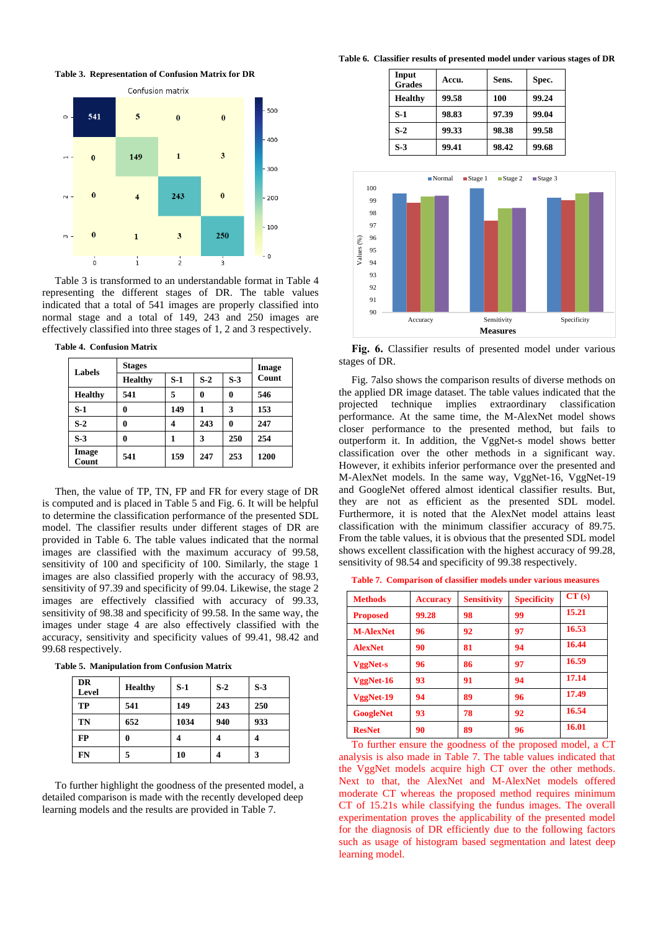**Table 3. Representation of Confusion Matrix for DR**



Table 3 is transformed to an understandable format in Table 4 representing the different stages of DR. The table values indicated that a total of 541 images are properly classified into normal stage and a total of 149, 243 and 250 images are effectively classified into three stages of 1, 2 and 3 respectively.

**Table 4. Confusion Matrix**

| Labels         | <b>Stages</b>  |       |       |       | Image |
|----------------|----------------|-------|-------|-------|-------|
|                | <b>Healthy</b> | $S-1$ | $S-2$ | $S-3$ | Count |
| <b>Healthy</b> | 541            | 5     | 0     | 0     | 546   |
| $S-1$          | 0              | 149   | 1     | 3     | 153   |
| $S-2$          | 0              | 4     | 243   | 0     | 247   |
| $S-3$          | 0              | 1     | 3     | 250   | 254   |
| Image<br>Count | 541            | 159   | 247   | 253   | 1200  |

Then, the value of TP, TN, FP and FR for every stage of DR is computed and is placed in Table 5 and Fig. 6. It will be helpful to determine the classification performance of the presented SDL model. The classifier results under different stages of DR are provided in Table 6. The table values indicated that the normal images are classified with the maximum accuracy of 99.58, sensitivity of 100 and specificity of 100. Similarly, the stage 1 images are also classified properly with the accuracy of 98.93, sensitivity of 97.39 and specificity of 99.04. Likewise, the stage 2 images are effectively classified with accuracy of 99.33, sensitivity of 98.38 and specificity of 99.58. In the same way, the images under stage 4 are also effectively classified with the accuracy, sensitivity and specificity values of 99.41, 98.42 and 99.68 respectively.

**Table 5. Manipulation from Confusion Matrix**

| <b>DR</b><br>Level | <b>Healthy</b> | $S-1$ | $S-2$ | $S-3$ |
|--------------------|----------------|-------|-------|-------|
| TP                 | 541            | 149   | 243   | 250   |
| TN                 | 652            | 1034  | 940   | 933   |
| FP                 | 0              |       |       |       |
| FN                 | 5              | 10    |       | 3     |

To further highlight the goodness of the presented model, a detailed comparison is made with the recently developed deep learning models and the results are provided in Table 7.

**Table 6. Classifier results of presented model under various stages of DR**

| Input<br><b>Grades</b> | Accu. | Sens. | Spec. |
|------------------------|-------|-------|-------|
| <b>Healthy</b>         | 99.58 | 100   | 99.24 |
| $S-1$                  | 98.83 | 97.39 | 99.04 |
| $S-2$                  | 99.33 | 98.38 | 99.58 |
| $S-3$                  | 99.41 | 98.42 | 99.68 |



**Fig. 6.** Classifier results of presented model under various stages of DR.

Fig. 7also shows the comparison results of diverse methods on the applied DR image dataset. The table values indicated that the projected technique implies extraordinary classification performance. At the same time, the M-AlexNet model shows closer performance to the presented method, but fails to outperform it. In addition, the VggNet-s model shows better classification over the other methods in a significant way. However, it exhibits inferior performance over the presented and M-AlexNet models. In the same way, VggNet-16, VggNet-19 and GoogleNet offered almost identical classifier results. But, they are not as efficient as the presented SDL model. Furthermore, it is noted that the AlexNet model attains least classification with the minimum classifier accuracy of 89.75. From the table values, it is obvious that the presented SDL model shows excellent classification with the highest accuracy of 99.28, sensitivity of 98.54 and specificity of 99.38 respectively.

**Table 7. Comparison of classifier models under various measures**

| <b>Methods</b>   | <b>Accuracy</b> | <b>Sensitivity</b> | <b>Specificity</b> | CT(s) |
|------------------|-----------------|--------------------|--------------------|-------|
| <b>Proposed</b>  | 99.28           | 98                 | 99                 | 15.21 |
| <b>M-AlexNet</b> | 96              | 92                 | 97                 | 16.53 |
| <b>AlexNet</b>   | 90              | 81                 | 94                 | 16.44 |
| <b>VggNet-s</b>  | 96              | 86                 | 97                 | 16.59 |
| VggNet-16        | 93              | 91                 | 94                 | 17.14 |
| VggNet-19        | 94              | 89                 | 96                 | 17.49 |
| <b>GoogleNet</b> | 93              | 78                 | 92                 | 16.54 |
| <b>ResNet</b>    | 90              | 89                 | 96                 | 16.01 |

To further ensure the goodness of the proposed model, a CT analysis is also made in Table 7. The table values indicated that the VggNet models acquire high CT over the other methods. Next to that, the AlexNet and M-AlexNet models offered moderate CT whereas the proposed method requires minimum CT of 15.21s while classifying the fundus images. The overall experimentation proves the applicability of the presented model for the diagnosis of DR efficiently due to the following factors such as usage of histogram based segmentation and latest deep learning model.